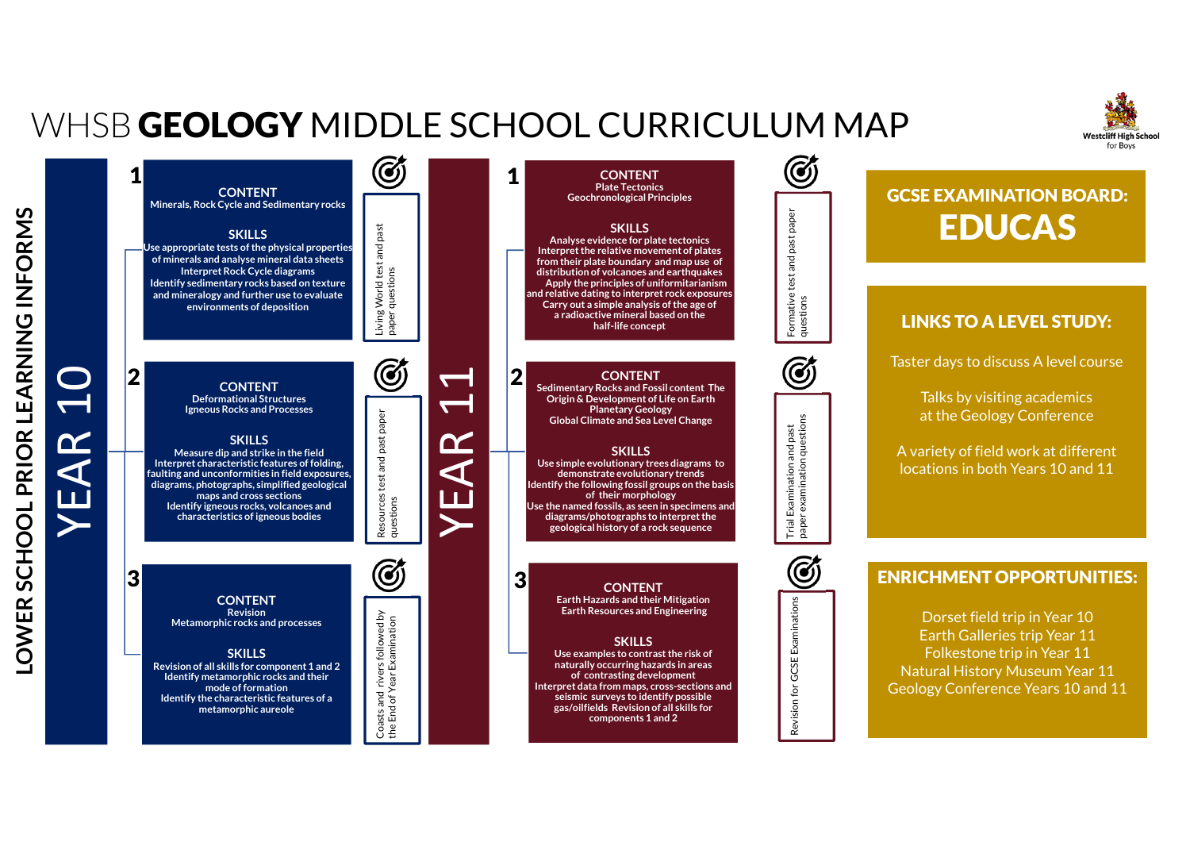## WHSB **GEOLOGY** MIDDLE SCHOOL CURRICULUM MAP

**LOWER SCHOOL PRIOR LEARNING INFORMS**

OWER